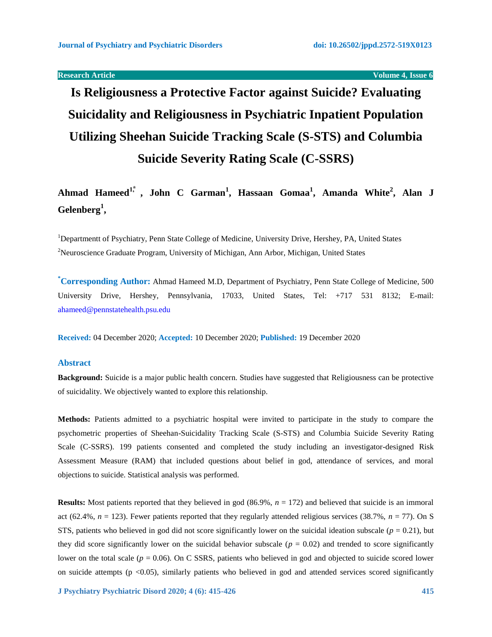**Products Article Volume 4, Issue 6** 

# **Is Religiousness a Protective Factor against Suicide? Evaluating Suicidality and Religiousness in Psychiatric Inpatient Population Utilizing Sheehan Suicide Tracking Scale (S-STS) and Columbia Suicide Severity Rating Scale (C-SSRS)**

**Ahmad Hameed1,⃰ , John C Garman<sup>1</sup> , Hassaan Gomaa<sup>1</sup> , Amanda White<sup>2</sup> , Alan J Gelenberg<sup>1</sup> ,** 

<sup>1</sup>Departmentt of Psychiatry, Penn State College of Medicine, University Drive, Hershey, PA, United States <sup>2</sup>Neuroscience Graduate Program, University of Michigan, Ann Arbor, Michigan, United States

**\*Corresponding Author:** Ahmad Hameed M.D, Department of Psychiatry, Penn State College of Medicine, 500 University Drive, Hershey, Pennsylvania, 17033, United States, Tel: +717 531 8132; E-mail: [ahameed@pennstatehealth.psu.edu](mailto:ahameed@pennstatehealth.psu.edu)

**Received:** 04 December 2020; **Accepted:** 10 December 2020; **Published:** 19 December 2020

# **Abstract**

**Background:** Suicide is a major public health concern. Studies have suggested that Religiousness can be protective of suicidality. We objectively wanted to explore this relationship.

**Methods:** Patients admitted to a psychiatric hospital were invited to participate in the study to compare the psychometric properties of Sheehan-Suicidality Tracking Scale (S-STS) and Columbia Suicide Severity Rating Scale (C-SSRS). 199 patients consented and completed the study including an investigator-designed Risk Assessment Measure (RAM) that included questions about belief in god, attendance of services, and moral objections to suicide. Statistical analysis was performed.

**Results:** Most patients reported that they believed in god (86.9%,  $n = 172$ ) and believed that suicide is an immoral act (62.4%,  $n = 123$ ). Fewer patients reported that they regularly attended religious services (38.7%,  $n = 77$ ). On S STS, patients who believed in god did not score significantly lower on the suicidal ideation subscale ( $p = 0.21$ ), but they did score significantly lower on the suicidal behavior subscale  $(p = 0.02)$  and trended to score significantly lower on the total scale ( $p = 0.06$ ). On C SSRS, patients who believed in god and objected to suicide scored lower on suicide attempts ( $p < 0.05$ ), similarly patients who believed in god and attended services scored significantly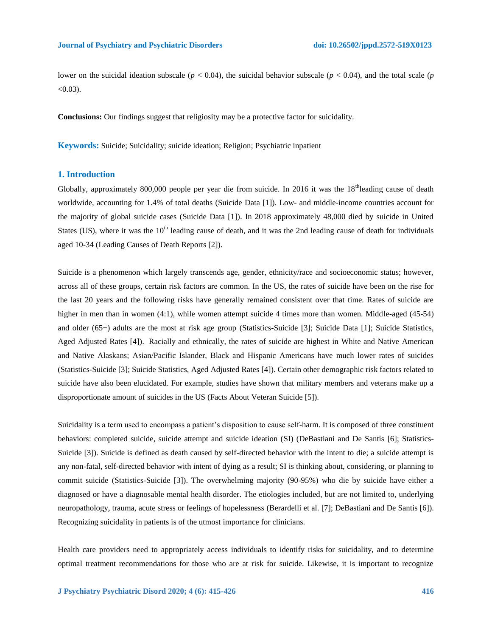lower on the suicidal ideation subscale ( $p < 0.04$ ), the suicidal behavior subscale ( $p < 0.04$ ), and the total scale ( $p$  $< 0.03$ ).

**Conclusions:** Our findings suggest that religiosity may be a protective factor for suicidality.

**Keywords:** Suicide; Suicidality; suicide ideation; Religion; Psychiatric inpatient

# **1. Introduction**

Globally, approximately 800,000 people per year die from suicide. In 2016 it was the  $18^{\text{th}}$ leading cause of death worldwide, accounting for 1.4% of total deaths (Suicide Data [1]). Low- and middle-income countries account for the majority of global suicide cases (Suicide Data [1]). In 2018 approximately 48,000 died by suicide in United States (US), where it was the  $10<sup>th</sup>$  leading cause of death, and it was the 2nd leading cause of death for individuals aged 10-34 (Leading Causes of Death Reports [2]).

Suicide is a phenomenon which largely transcends age, gender, ethnicity/race and socioeconomic status; however, across all of these groups, certain risk factors are common. In the US, the rates of suicide have been on the rise for the last 20 years and the following risks have generally remained consistent over that time. Rates of suicide are higher in men than in women (4:1), while women attempt suicide 4 times more than women. Middle-aged (45-54) and older (65+) adults are the most at risk age group (Statistics-Suicide [3]; Suicide Data [1]; Suicide Statistics, Aged Adjusted Rates [4]). Racially and ethnically, the rates of suicide are highest in White and Native American and Native Alaskans; Asian/Pacific Islander, Black and Hispanic Americans have much lower rates of suicides (Statistics-Suicide [3]; Suicide Statistics, Aged Adjusted Rates [4]). Certain other demographic risk factors related to suicide have also been elucidated. For example, studies have shown that military members and veterans make up a disproportionate amount of suicides in the US (Facts About Veteran Suicide [5]).

Suicidality is a term used to encompass a patient's disposition to cause self-harm. It is composed of three constituent behaviors: completed suicide, suicide attempt and suicide ideation (SI) (DeBastiani and De Santis [6]; Statistics-Suicide [3]). Suicide is defined as death caused by self-directed behavior with the intent to die; a suicide attempt is any non-fatal, self-directed behavior with intent of dying as a result; SI is thinking about, considering, or planning to commit suicide (Statistics-Suicide [3]). The overwhelming majority (90-95%) who die by suicide have either a diagnosed or have a diagnosable mental health disorder. The etiologies included, but are not limited to, underlying neuropathology, trauma, acute stress or feelings of hopelessness (Berardelli et al. [7]; DeBastiani and De Santis [6]). Recognizing suicidality in patients is of the utmost importance for clinicians.

Health care providers need to appropriately access individuals to identify risks for suicidality, and to determine optimal treatment recommendations for those who are at risk for suicide. Likewise, it is important to recognize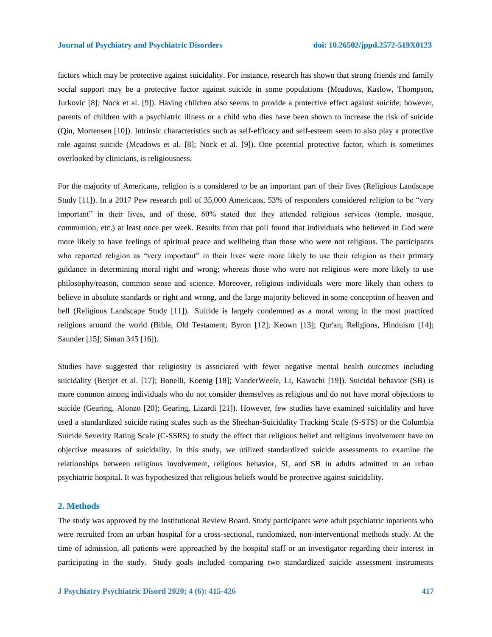#### **Journal of Psychiatry and Psychiatric Disorders doi: 10.26502/jppd.2572-519X0123**

factors which may be protective against suicidality. For instance, research has shown that strong friends and family social support may be a protective factor against suicide in some populations (Meadows, Kaslow, Thompson, Jurkovic [8]; Nock et al. [9]). Having children also seems to provide a protective effect against suicide; however, parents of children with a psychiatric illness or a child who dies have been shown to increase the risk of suicide (Qin, Mortensen [10]). Intrinsic characteristics such as self-efficacy and self-esteem seem to also play a protective role against suicide (Meadows et al. [8]; Nock et al. [9]). One potential protective factor, which is sometimes overlooked by clinicians, is religiousness.

For the majority of Americans, religion is a considered to be an important part of their lives (Religious Landscape Study [11]). In a 2017 Pew research poll of 35,000 Americans, 53% of responders considered religion to be "very important" in their lives, and of those, 60% stated that they attended religious services (temple, mosque, communion, etc.) at least once per week. Results from that poll found that individuals who believed in God were more likely to have feelings of spiritual peace and wellbeing than those who were not religious. The participants who reported religion as "very important" in their lives were more likely to use their religion as their primary guidance in determining moral right and wrong; whereas those who were not religious were more likely to use philosophy/reason, common sense and science. Moreover, religious individuals were more likely than others to believe in absolute standards or right and wrong, and the large majority believed in some conception of heaven and hell (Religious Landscape Study [11]). Suicide is largely condemned as a moral wrong in the most practiced religions around the world (Bible, Old Testament; Byron [12]; Keown [13]; Qur'an; Religions, Hinduism [14]; Saunder [15]; Siman 345 [16]).

Studies have suggested that religiosity is associated with fewer negative mental health outcomes including suicidality (Benjet et al. [17]; Bonelli, Koenig [18]; VanderWeele, Li, Kawachi [19]). Suicidal behavior (SB) is more common among individuals who do not consider themselves as religious and do not have moral objections to suicide (Gearing, Alonzo [20]; Gearing, Lizardi [21]). However, few studies have examined suicidality and have used a standardized suicide rating scales such as the Sheehan-Suicidality Tracking Scale (S-STS) or the Columbia Suicide Severity Rating Scale (C-SSRS) to study the effect that religious belief and religious involvement have on objective measures of suicidality. In this study, we utilized standardized suicide assessments to examine the relationships between religious involvement, religious behavior, SI, and SB in adults admitted to an urban psychiatric hospital. It was hypothesized that religious beliefs would be protective against suicidality.

#### **2. Methods**

The study was approved by the Institutional Review Board. Study participants were adult psychiatric inpatients who were recruited from an urban hospital for a cross-sectional, randomized, non-interventional methods study. At the time of admission, all patients were approached by the hospital staff or an investigator regarding their interest in participating in the study. Study goals included comparing two standardized suicide assessment instruments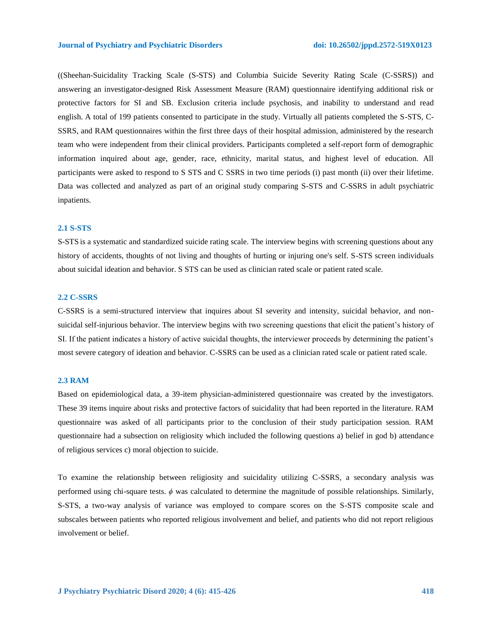((Sheehan-Suicidality Tracking Scale (S-STS) and Columbia Suicide Severity Rating Scale (C-SSRS)) and answering an investigator-designed Risk Assessment Measure (RAM) questionnaire identifying additional risk or protective factors for SI and SB. Exclusion criteria include psychosis, and inability to understand and read english. A total of 199 patients consented to participate in the study. Virtually all patients completed the S-STS, C-SSRS, and RAM questionnaires within the first three days of their hospital admission, administered by the research team who were independent from their clinical providers. Participants completed a self-report form of demographic information inquired about age, gender, race, ethnicity, marital status, and highest level of education. All participants were asked to respond to S STS and C SSRS in two time periods (i) past month (ii) over their lifetime. Data was collected and analyzed as part of an original study comparing S-STS and C-SSRS in adult psychiatric inpatients.

### **2.1 S-STS**

S-STS is a systematic and standardized suicide rating scale. The interview begins with screening questions about any history of accidents, thoughts of not living and thoughts of hurting or injuring one's self. S-STS screen individuals about suicidal ideation and behavior. S STS can be used as clinician rated scale or patient rated scale.

# **2.2 C-SSRS**

C-SSRS is a semi-structured interview that inquires about SI severity and intensity, suicidal behavior, and nonsuicidal self-injurious behavior. The interview begins with two screening questions that elicit the patient's history of SI. If the patient indicates a history of active suicidal thoughts, the interviewer proceeds by determining the patient's most severe category of ideation and behavior. C-SSRS can be used as a clinician rated scale or patient rated scale.

# **2.3 RAM**

Based on epidemiological data, a 39-item physician-administered questionnaire was created by the investigators. These 39 items inquire about risks and protective factors of suicidality that had been reported in the literature. RAM questionnaire was asked of all participants prior to the conclusion of their study participation session. RAM questionnaire had a subsection on religiosity which included the following questions a) belief in god b) attendance of religious services c) moral objection to suicide.

To examine the relationship between religiosity and suicidality utilizing C-SSRS, a secondary analysis was performed using chi-square tests. *ϕ* was calculated to determine the magnitude of possible relationships. Similarly, S-STS, a two-way analysis of variance was employed to compare scores on the S-STS composite scale and subscales between patients who reported religious involvement and belief, and patients who did not report religious involvement or belief.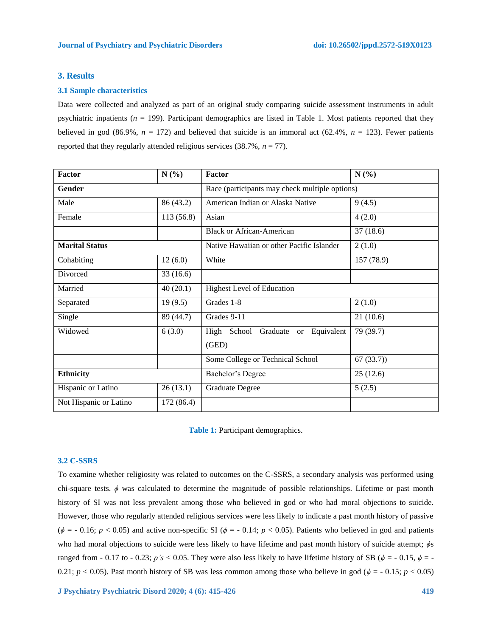# **3. Results**

#### **3.1 Sample characteristics**

Data were collected and analyzed as part of an original study comparing suicide assessment instruments in adult psychiatric inpatients (*n* = 199). Participant demographics are listed in Table 1. Most patients reported that they believed in god (86.9%,  $n = 172$ ) and believed that suicide is an immoral act (62.4%,  $n = 123$ ). Fewer patients reported that they regularly attended religious services  $(38.7\%, n = 77)$ .

| Factor                 | N(%)       | Factor                                         | N(%)       |  |  |
|------------------------|------------|------------------------------------------------|------------|--|--|
| Gender                 |            | Race (participants may check multiple options) |            |  |  |
| Male                   | 86 (43.2)  | American Indian or Alaska Native               | 9(4.5)     |  |  |
| Female                 | 113(56.8)  | Asian                                          | 4(2.0)     |  |  |
|                        |            | Black or African-American                      | 37(18.6)   |  |  |
| <b>Marital Status</b>  |            | Native Hawaiian or other Pacific Islander      | 2(1.0)     |  |  |
| Cohabiting             | 12(6.0)    | White                                          | 157 (78.9) |  |  |
| Divorced               | 33(16.6)   |                                                |            |  |  |
| Married                | 40(20.1)   | <b>Highest Level of Education</b>              |            |  |  |
| Separated              | 19(9.5)    | Grades 1-8                                     | 2(1.0)     |  |  |
| Single                 | 89 (44.7)  | Grades 9-11                                    | 21(10.6)   |  |  |
| Widowed                | 6(3.0)     | Equivalent<br>High School Graduate or<br>(GED) | 79 (39.7)  |  |  |
|                        |            | Some College or Technical School               | 67(33.7)   |  |  |
| <b>Ethnicity</b>       |            | Bachelor's Degree                              | 25(12.6)   |  |  |
| Hispanic or Latino     | 26(13.1)   | <b>Graduate Degree</b>                         | 5(2.5)     |  |  |
| Not Hispanic or Latino | 172 (86.4) |                                                |            |  |  |

|  | Table 1: Participant demographics. |  |  |
|--|------------------------------------|--|--|
|--|------------------------------------|--|--|

### **3.2 C-SSRS**

To examine whether religiosity was related to outcomes on the C-SSRS, a secondary analysis was performed using chi-square tests. *ϕ* was calculated to determine the magnitude of possible relationships. Lifetime or past month history of SI was not less prevalent among those who believed in god or who had moral objections to suicide. However, those who regularly attended religious services were less likely to indicate a past month history of passive ( $\phi$  = - 0.16; *p* < 0.05) and active non-specific SI ( $\phi$  = - 0.14; *p* < 0.05). Patients who believed in god and patients who had moral objections to suicide were less likely to have lifetime and past month history of suicide attempt; *ϕ*s ranged from - 0.17 to - 0.23;  $p's < 0.05$ . They were also less likely to have lifetime history of SB ( $\phi = -0.15$ ,  $\phi = -1.5$ 0.21;  $p < 0.05$ ). Past month history of SB was less common among those who believe in god ( $\phi = -0.15$ ;  $p < 0.05$ )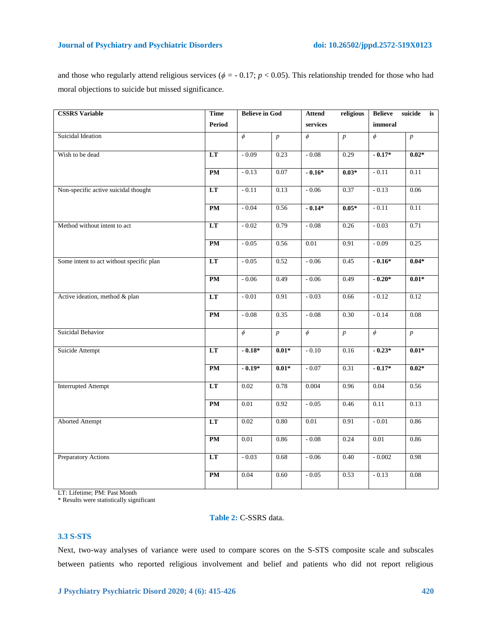and those who regularly attend religious services ( $\phi$  = -0.17; *p* < 0.05). This relationship trended for those who had moral objections to suicide but missed significance.

| <b>CSSRS</b> Variable                    | <b>Time</b> | <b>Believe in God</b> |                  | <b>Attend</b> | religious        | <b>Believe</b> | suicide<br>is    |
|------------------------------------------|-------------|-----------------------|------------------|---------------|------------------|----------------|------------------|
|                                          | Period      |                       |                  | services      |                  | immoral        |                  |
| Suicidal Ideation                        |             | $\phi$                | $\boldsymbol{p}$ | $\phi$        | $\boldsymbol{p}$ | $\phi$         | $\boldsymbol{p}$ |
| Wish to be dead                          | LT          | $-0.09$               | 0.23             | $-0.08$       | 0.29             | $-0.17*$       | $0.02*$          |
|                                          | PM          | $-0.13$               | 0.07             | $-0.16*$      | $0.03*$          | $-0.11$        | 0.11             |
| Non-specific active suicidal thought     | LT          | $-0.11$               | 0.13             | $-0.06$       | 0.37             | $-0.13$        | 0.06             |
|                                          | PM          | $-0.04$               | 0.56             | $-0.14*$      | $0.05*$          | $-0.11$        | 0.11             |
| Method without intent to act             | LT          | $-0.02$               | 0.79             | $-0.08$       | 0.26             | $-0.03$        | 0.71             |
|                                          | PM          | $-0.05$               | 0.56             | 0.01          | 0.91             | $-0.09$        | 0.25             |
| Some intent to act without specific plan | LT          | $-0.05$               | 0.52             | $-0.06$       | 0.45             | $-0.16*$       | $0.04*$          |
|                                          | PM          | $-0.06$               | 0.49             | $-0.06$       | 0.49             | $-0.20*$       | $0.01*$          |
| Active ideation, method & plan           | LT          | $-0.01$               | 0.91             | $-0.03$       | 0.66             | $-0.12$        | 0.12             |
|                                          | PM          | $-0.08$               | 0.35             | $-0.08$       | 0.30             | $-0.14$        | 0.08             |
| Suicidal Behavior                        |             | $\phi$                | $\boldsymbol{p}$ | $\phi$        | $\boldsymbol{p}$ | $\phi$         | $\boldsymbol{p}$ |
| Suicide Attempt                          | LT          | $-0.18*$              | $0.01*$          | $-0.10$       | 0.16             | $-0.23*$       | $0.01*$          |
|                                          | PM          | $-0.19*$              | $0.01*$          | $-0.07$       | 0.31             | $-0.17*$       | $0.02*$          |
| <b>Interrupted Attempt</b>               | LT          | 0.02                  | 0.78             | 0.004         | 0.96             | 0.04           | 0.56             |
|                                          | PM          | 0.01                  | 0.92             | $-0.05$       | 0.46             | 0.11           | 0.13             |
| <b>Aborted Attempt</b>                   | LT          | 0.02                  | 0.80             | 0.01          | 0.91             | $-0.01$        | 0.86             |
|                                          | PM          | 0.01                  | 0.86             | $-0.08$       | 0.24             | 0.01           | 0.86             |
| Preparatory Actions                      | LT          | $-0.03$               | 0.68             | $-0.06$       | 0.40             | $-0.002$       | 0.98             |
|                                          | PM          | 0.04                  | 0.60             | $-0.05$       | 0.53             | $-0.13$        | 0.08             |

LT: Lifetime; PM: Past Month

\* Results were statistically significant

# **Table 2:** C-SSRS data.

# **3.3 S-STS**

Next, two-way analyses of variance were used to compare scores on the S-STS composite scale and subscales between patients who reported religious involvement and belief and patients who did not report religious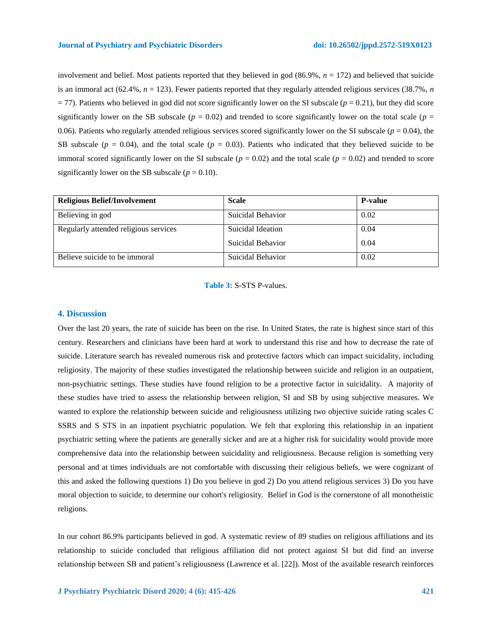involvement and belief. Most patients reported that they believed in god (86.9%, *n* = 172) and believed that suicide is an immoral act (62.4%, *n* = 123). Fewer patients reported that they regularly attended religious services (38.7%, *n*  $= 77$ ). Patients who believed in god did not score significantly lower on the SI subscale ( $p = 0.21$ ), but they did score significantly lower on the SB subscale ( $p = 0.02$ ) and trended to score significantly lower on the total scale ( $p =$ 0.06). Patients who regularly attended religious services scored significantly lower on the SI subscale (*p* = 0.04), the SB subscale ( $p = 0.04$ ), and the total scale ( $p = 0.03$ ). Patients who indicated that they believed suicide to be immoral scored significantly lower on the SI subscale ( $p = 0.02$ ) and the total scale ( $p = 0.02$ ) and trended to score significantly lower on the SB subscale  $(p = 0.10)$ .

| <b>Religious Belief/Involvement</b>   | <b>Scale</b>      | <b>P-value</b> |
|---------------------------------------|-------------------|----------------|
| Believing in god                      | Suicidal Behavior | 0.02           |
| Regularly attended religious services | Suicidal Ideation | 0.04           |
|                                       | Suicidal Behavior | 0.04           |
| Believe suicide to be immoral         | Suicidal Behavior | 0.02           |

**Table 3:** S-STS P-values.

# **4. Discussion**

Over the last 20 years, the rate of suicide has been on the rise. In United States, the rate is highest since start of this century. Researchers and clinicians have been hard at work to understand this rise and how to decrease the rate of suicide. Literature search has revealed numerous risk and protective factors which can impact suicidality, including religiosity. The majority of these studies investigated the relationship between suicide and religion in an outpatient, non-psychiatric settings. These studies have found religion to be a protective factor in suicidality. A majority of these studies have tried to assess the relationship between religion, SI and SB by using subjective measures. We wanted to explore the relationship between suicide and religiousness utilizing two objective suicide rating scales C SSRS and S STS in an inpatient psychiatric population. We felt that exploring this relationship in an inpatient psychiatric setting where the patients are generally sicker and are at a higher risk for suicidality would provide more comprehensive data into the relationship between suicidality and religiousness. Because religion is something very personal and at times individuals are not comfortable with discussing their religious beliefs, we were cognizant of this and asked the following questions 1) Do you believe in god 2) Do you attend religious services 3) Do you have moral objection to suicide, to determine our cohort's religiosity. Belief in God is the cornerstone of all monotheistic religions.

In our cohort 86.9% participants believed in god. A systematic review of 89 studies on religious affiliations and its relationship to suicide concluded that religious affiliation did not protect against SI but did find an inverse relationship between SB and patient's religiousness (Lawrence et al. [22]). Most of the available research reinforces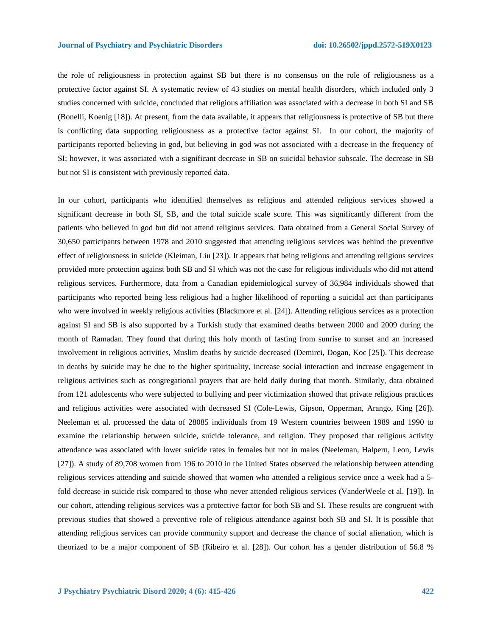the role of religiousness in protection against SB but there is no consensus on the role of religiousness as a protective factor against SI. A systematic review of 43 studies on mental health disorders, which included only 3 studies concerned with suicide, concluded that religious affiliation was associated with a decrease in both SI and SB (Bonelli, Koenig [18]). At present, from the data available, it appears that religiousness is protective of SB but there is conflicting data supporting religiousness as a protective factor against SI. In our cohort, the majority of participants reported believing in god, but believing in god was not associated with a decrease in the frequency of SI; however, it was associated with a significant decrease in SB on suicidal behavior subscale. The decrease in SB but not SI is consistent with previously reported data.

In our cohort, participants who identified themselves as religious and attended religious services showed a significant decrease in both SI, SB, and the total suicide scale score. This was significantly different from the patients who believed in god but did not attend religious services. Data obtained from a General Social Survey of 30,650 participants between 1978 and 2010 suggested that attending religious services was behind the preventive effect of religiousness in suicide (Kleiman, Liu [23]). It appears that being religious and attending religious services provided more protection against both SB and SI which was not the case for religious individuals who did not attend religious services. Furthermore, data from a Canadian epidemiological survey of 36,984 individuals showed that participants who reported being less religious had a higher likelihood of reporting a suicidal act than participants who were involved in weekly religious activities (Blackmore et al. [24]). Attending religious services as a protection against SI and SB is also supported by a Turkish study that examined deaths between 2000 and 2009 during the month of Ramadan. They found that during this holy month of fasting from sunrise to sunset and an increased involvement in religious activities, Muslim deaths by suicide decreased (Demirci, Dogan, Koc [25]). This decrease in deaths by suicide may be due to the higher spirituality, increase social interaction and increase engagement in religious activities such as congregational prayers that are held daily during that month. Similarly, data obtained from 121 adolescents who were subjected to bullying and peer victimization showed that private religious practices and religious activities were associated with decreased SI (Cole-Lewis, Gipson, Opperman, Arango, King [26]). Neeleman et al. processed the data of 28085 individuals from 19 Western countries between 1989 and 1990 to examine the relationship between suicide, suicide tolerance, and religion. They proposed that religious activity attendance was associated with lower suicide rates in females but not in males (Neeleman, Halpern, Leon, Lewis [27]). A study of 89,708 women from 196 to 2010 in the United States observed the relationship between attending religious services attending and suicide showed that women who attended a religious service once a week had a 5 fold decrease in suicide risk compared to those who never attended religious services (VanderWeele et al. [19]). In our cohort, attending religious services was a protective factor for both SB and SI. These results are congruent with previous studies that showed a preventive role of religious attendance against both SB and SI. It is possible that attending religious services can provide community support and decrease the chance of social alienation, which is theorized to be a major component of SB (Ribeiro et al. [28]). Our cohort has a gender distribution of 56.8 %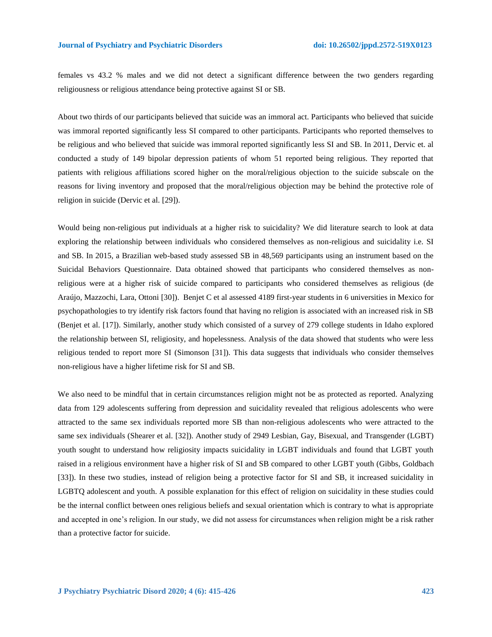females vs 43.2 % males and we did not detect a significant difference between the two genders regarding religiousness or religious attendance being protective against SI or SB.

About two thirds of our participants believed that suicide was an immoral act. Participants who believed that suicide was immoral reported significantly less SI compared to other participants. Participants who reported themselves to be religious and who believed that suicide was immoral reported significantly less SI and SB. In 2011, Dervic et. al conducted a study of 149 bipolar depression patients of whom 51 reported being religious. They reported that patients with religious affiliations scored higher on the moral/religious objection to the suicide subscale on the reasons for living inventory and proposed that the moral/religious objection may be behind the protective role of religion in suicide (Dervic et al. [29]).

Would being non-religious put individuals at a higher risk to suicidality? We did literature search to look at data exploring the relationship between individuals who considered themselves as non-religious and suicidality i.e. SI and SB. In 2015, a Brazilian web-based study assessed SB in 48,569 participants using an instrument based on the Suicidal Behaviors Questionnaire. Data obtained showed that participants who considered themselves as nonreligious were at a higher risk of suicide compared to participants who considered themselves as religious (de Araújo, Mazzochi, Lara, Ottoni [30]). Benjet C et al assessed 4189 first-year students in 6 universities in Mexico for psychopathologies to try identify risk factors found that having no religion is associated with an increased risk in SB (Benjet et al. [17]). Similarly, another study which consisted of a survey of 279 college students in Idaho explored the relationship between SI, religiosity, and hopelessness. Analysis of the data showed that students who were less religious tended to report more SI (Simonson [31]). This data suggests that individuals who consider themselves non-religious have a higher lifetime risk for SI and SB.

We also need to be mindful that in certain circumstances religion might not be as protected as reported. Analyzing data from 129 adolescents suffering from depression and suicidality revealed that religious adolescents who were attracted to the same sex individuals reported more SB than non-religious adolescents who were attracted to the same sex individuals (Shearer et al. [32]). Another study of 2949 Lesbian, Gay, Bisexual, and Transgender (LGBT) youth sought to understand how religiosity impacts suicidality in LGBT individuals and found that LGBT youth raised in a religious environment have a higher risk of SI and SB compared to other LGBT youth (Gibbs, Goldbach [33]). In these two studies, instead of religion being a protective factor for SI and SB, it increased suicidality in LGBTQ adolescent and youth. A possible explanation for this effect of religion on suicidality in these studies could be the internal conflict between ones religious beliefs and sexual orientation which is contrary to what is appropriate and accepted in one's religion. In our study, we did not assess for circumstances when religion might be a risk rather than a protective factor for suicide.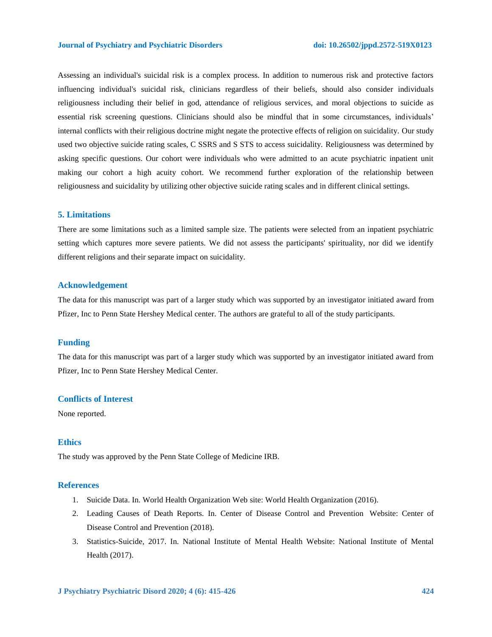Assessing an individual's suicidal risk is a complex process. In addition to numerous risk and protective factors influencing individual's suicidal risk, clinicians regardless of their beliefs, should also consider individuals religiousness including their belief in god, attendance of religious services, and moral objections to suicide as essential risk screening questions. Clinicians should also be mindful that in some circumstances, individuals' internal conflicts with their religious doctrine might negate the protective effects of religion on suicidality. Our study used two objective suicide rating scales, C SSRS and S STS to access suicidality. Religiousness was determined by asking specific questions. Our cohort were individuals who were admitted to an acute psychiatric inpatient unit making our cohort a high acuity cohort. We recommend further exploration of the relationship between religiousness and suicidality by utilizing other objective suicide rating scales and in different clinical settings.

# **5. Limitations**

There are some limitations such as a limited sample size. The patients were selected from an inpatient psychiatric setting which captures more severe patients. We did not assess the participants' spirituality, nor did we identify different religions and their separate impact on suicidality.

#### **Acknowledgement**

The data for this manuscript was part of a larger study which was supported by an investigator initiated award from Pfizer, Inc to Penn State Hershey Medical center. The authors are grateful to all of the study participants.

#### **Funding**

The data for this manuscript was part of a larger study which was supported by an investigator initiated award from Pfizer, Inc to Penn State Hershey Medical Center.

# **Conflicts of Interest**

None reported.

# **Ethics**

The study was approved by the Penn State College of Medicine IRB.

#### **References**

- 1. Suicide Data. In. World Health Organization Web site: World Health Organization (2016).
- 2. Leading Causes of Death Reports. In. Center of Disease Control and Prevention Website: Center of Disease Control and Prevention (2018).
- 3. Statistics-Suicide, 2017. In. National Institute of Mental Health Website: National Institute of Mental Health (2017).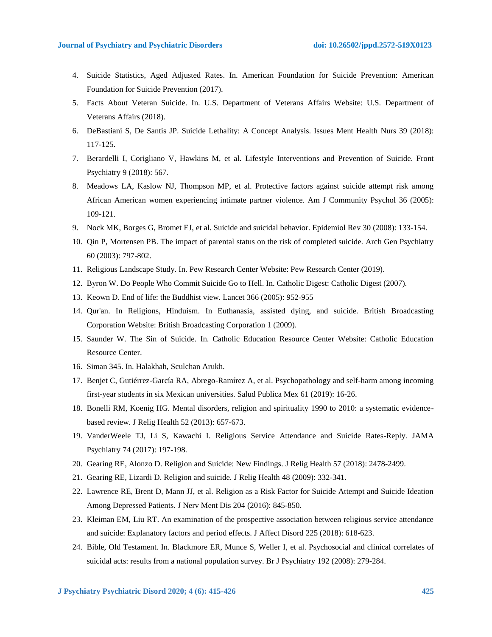- 4. Suicide Statistics, Aged Adjusted Rates. In. American Foundation for Suicide Prevention: American Foundation for Suicide Prevention (2017).
- 5. Facts About Veteran Suicide. In. U.S. Department of Veterans Affairs Website: U.S. Department of Veterans Affairs (2018).
- 6. DeBastiani S, De Santis JP. Suicide Lethality: A Concept Analysis. Issues Ment Health Nurs 39 (2018): 117-125.
- 7. Berardelli I, Corigliano V, Hawkins M, et al. Lifestyle Interventions and Prevention of Suicide. Front Psychiatry 9 (2018): 567.
- 8. Meadows LA, Kaslow NJ, Thompson MP, et al. Protective factors against suicide attempt risk among African American women experiencing intimate partner violence. Am J Community Psychol 36 (2005): 109-121.
- 9. Nock MK, Borges G, Bromet EJ, et al. Suicide and suicidal behavior. Epidemiol Rev 30 (2008): 133-154.
- 10. Qin P, Mortensen PB. The impact of parental status on the risk of completed suicide. Arch Gen Psychiatry 60 (2003): 797-802.
- 11. Religious Landscape Study. In. Pew Research Center Website: Pew Research Center (2019).
- 12. Byron W. Do People Who Commit Suicide Go to Hell. In. Catholic Digest: Catholic Digest (2007).
- 13. Keown D. End of life: the Buddhist view. Lancet 366 (2005): 952-955
- 14. Qur'an. In Religions, Hinduism. In Euthanasia, assisted dying, and suicide. British Broadcasting Corporation Website: British Broadcasting Corporation 1 (2009).
- 15. Saunder W. The Sin of Suicide. In. Catholic Education Resource Center Website: Catholic Education Resource Center.
- 16. Siman 345. In. Halakhah, Sculchan Arukh.
- 17. Benjet C, Gutiérrez-García RA, Abrego-Ramírez A, et al. Psychopathology and self-harm among incoming first-year students in six Mexican universities. Salud Publica Mex 61 (2019): 16-26.
- 18. Bonelli RM, Koenig HG. Mental disorders, religion and spirituality 1990 to 2010: a systematic evidencebased review. J Relig Health 52 (2013): 657-673.
- 19. VanderWeele TJ, Li S, Kawachi I. Religious Service Attendance and Suicide Rates-Reply. JAMA Psychiatry 74 (2017): 197-198.
- 20. Gearing RE, Alonzo D. Religion and Suicide: New Findings. J Relig Health 57 (2018): 2478-2499.
- 21. Gearing RE, Lizardi D. Religion and suicide. J Relig Health 48 (2009): 332-341.
- 22. Lawrence RE, Brent D, Mann JJ, et al. Religion as a Risk Factor for Suicide Attempt and Suicide Ideation Among Depressed Patients. J Nerv Ment Dis 204 (2016): 845-850.
- 23. Kleiman EM, Liu RT. An examination of the prospective association between religious service attendance and suicide: Explanatory factors and period effects. J Affect Disord 225 (2018): 618-623.
- 24. Bible, Old Testament. In. Blackmore ER, Munce S, Weller I, et al. Psychosocial and clinical correlates of suicidal acts: results from a national population survey. Br J Psychiatry 192 (2008): 279-284.